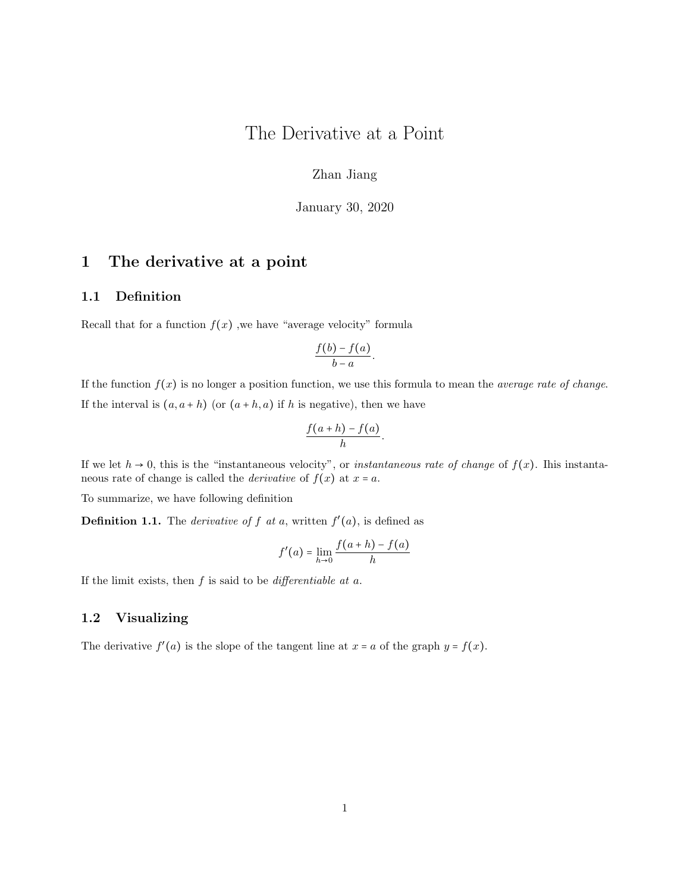## The Derivative at a Point

Zhan Jiang

January 30, 2020

### 1 The derivative at a point

#### 1.1 Definition

Recall that for a function  $f(x)$ , we have "average velocity" formula

$$
\frac{f(b)-f(a)}{b-a}.
$$

If the function  $f(x)$  is no longer a position function, we use this formula to mean the *average rate of change*. If the interval is  $(a, a + h)$  (or  $(a + h, a)$  if h is negative), then we have

$$
\frac{f(a+h)-f(a)}{h}.
$$

If we let  $h \to 0$ , this is the "instantaneous velocity", or *instantaneous rate of change* of  $f(x)$ . Ihis instantaneous rate of change is called the *derivative* of  $f(x)$  at  $x = a$ .

To summarize, we have following definition

**Definition 1.1.** The *derivative of f at a*, written  $f'(a)$ , is defined as

$$
f'(a) = \lim_{h \to 0} \frac{f(a+h) - f(a)}{h}
$$

If the limit exists, then  $f$  is said to be *differentiable at a*.

#### 1.2 Visualizing

The derivative  $f'(a)$  is the slope of the tangent line at  $x = a$  of the graph  $y = f(x)$ .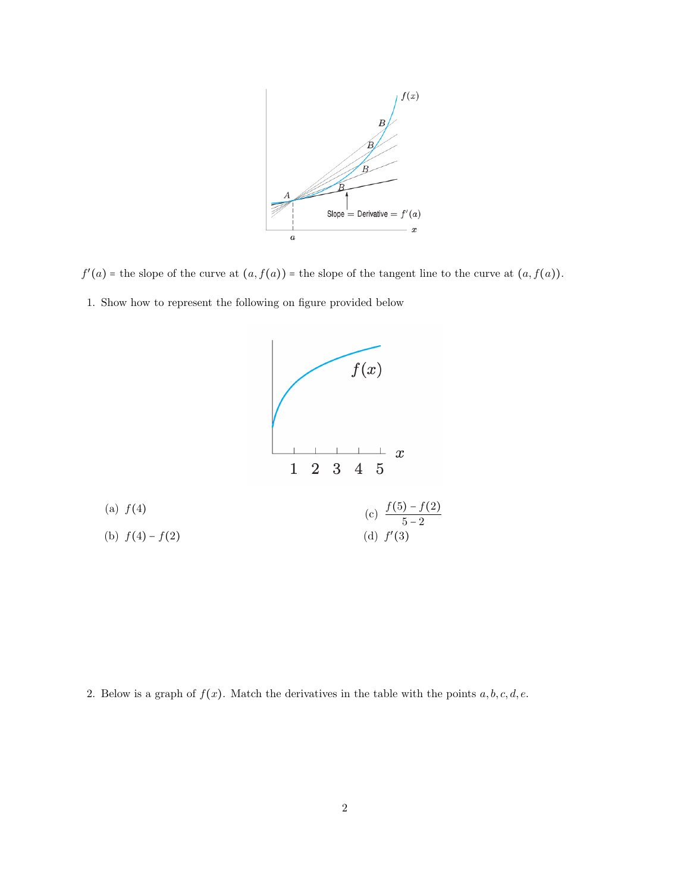

 $f'(a)$  = the slope of the curve at  $(a, f(a))$  = the slope of the tangent line to the curve at  $(a, f(a))$ .

1. Show how to represent the following on figure provided below



2. Below is a graph of  $f(x)$ . Match the derivatives in the table with the points  $a, b, c, d, e$ .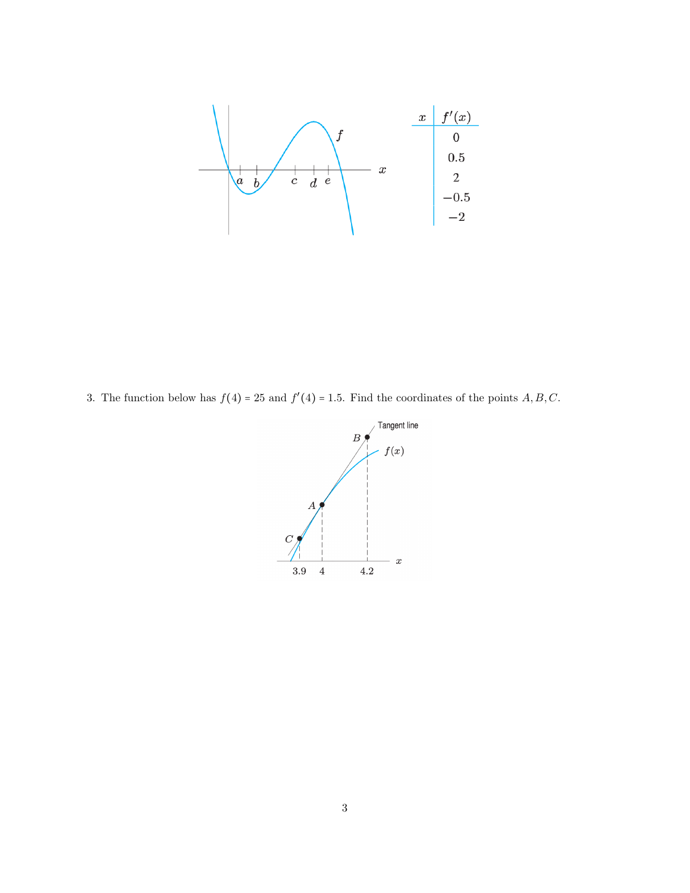

3. The function below has  $f(4) = 25$  and  $f'(4) = 1.5$ . Find the coordinates of the points A, B, C.

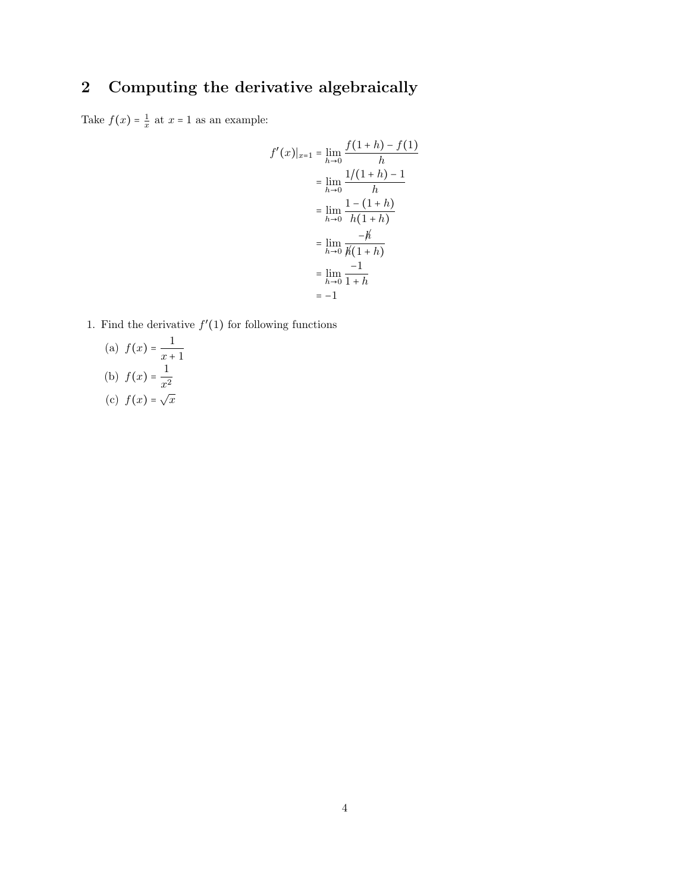# 2 Computing the derivative algebraically

Take  $f(x) = \frac{1}{x}$  at  $x = 1$  as an example:

$$
f'(x)|_{x=1} = \lim_{h \to 0} \frac{f(1+h) - f(1)}{h}
$$
  
= 
$$
\lim_{h \to 0} \frac{1/(1+h) - 1}{h}
$$
  
= 
$$
\lim_{h \to 0} \frac{1 - (1+h)}{h(1+h)}
$$
  
= 
$$
\lim_{h \to 0} \frac{-h'}{h(1+h)}
$$
  
= 
$$
\lim_{h \to 0} \frac{-1}{1+h}
$$
  
= -1

1. Find the derivative  $f'(1)$  for following functions

(a) 
$$
f(x) = \frac{1}{x+1}
$$
  
\n(b)  $f(x) = \frac{1}{x^2}$   
\n(c)  $f(x) = \sqrt{x}$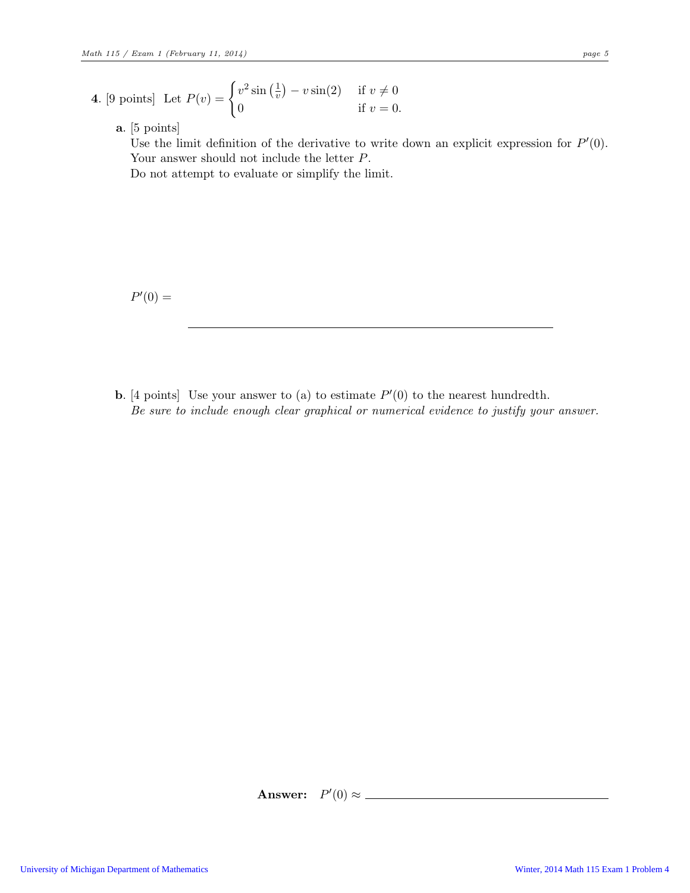- **4.** [9 points] Let  $P(v) = \begin{cases} v^2 \sin(\frac{1}{v}) & \text{if } v \leq v \end{cases}$  $\frac{1}{v}$ ) –  $v \sin(2)$  if  $v \neq 0$ 0 if  $v = 0$ .
	- a. [5 points]

Use the limit definition of the derivative to write down an explicit expression for  $P'(0)$ . Your answer should not include the letter P. Do not attempt to evaluate or simplify the limit.

 $P'(0) =$ 

**b.** [4 points] Use your answer to (a) to estimate  $P'(0)$  to the nearest hundredth. Be sure to include enough clear graphical or numerical evidence to justify your answer.

Answer:  $P'(0) \approx$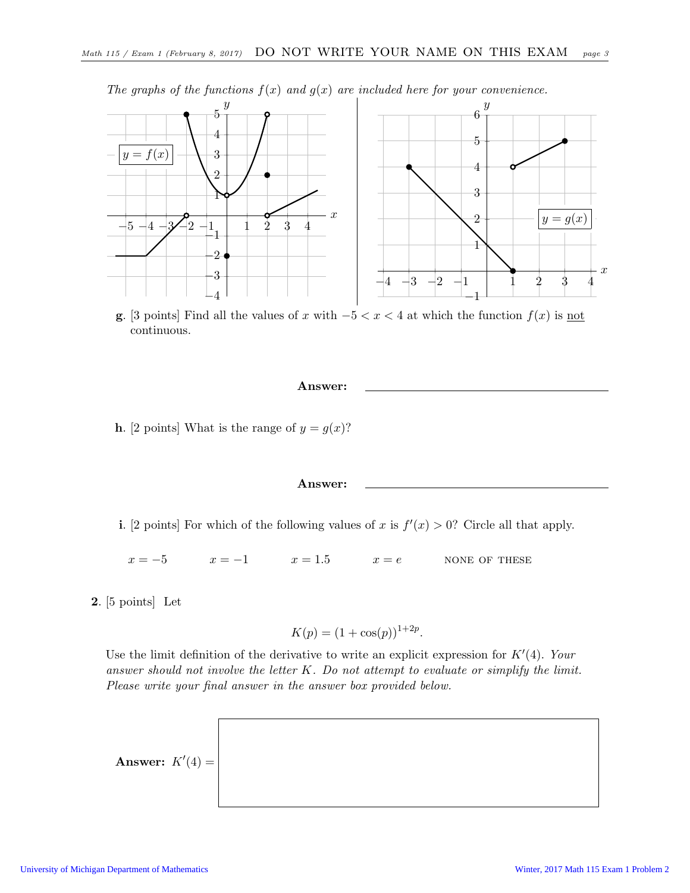

The graphs of the functions  $f(x)$  and  $g(x)$  are included here for your convenience.

g. [3 points] Find all the values of x with  $-5 < x < 4$  at which the function  $f(x)$  is not continuous.



i. [2 points] For which of the following values of x is  $f'(x) > 0$ ? Circle all that apply.

 $x = -5$   $x = -1$   $x = 1.5$   $x = e$  NONE OF THESE

2. [5 points] Let

$$
K(p) = (1 + \cos(p))^{1 + 2p}.
$$

Use the limit definition of the derivative to write an explicit expression for  $K'(4)$ . Your answer should not involve the letter  $K$ . Do not attempt to evaluate or simplify the limit. Please write your final answer in the answer box provided below.

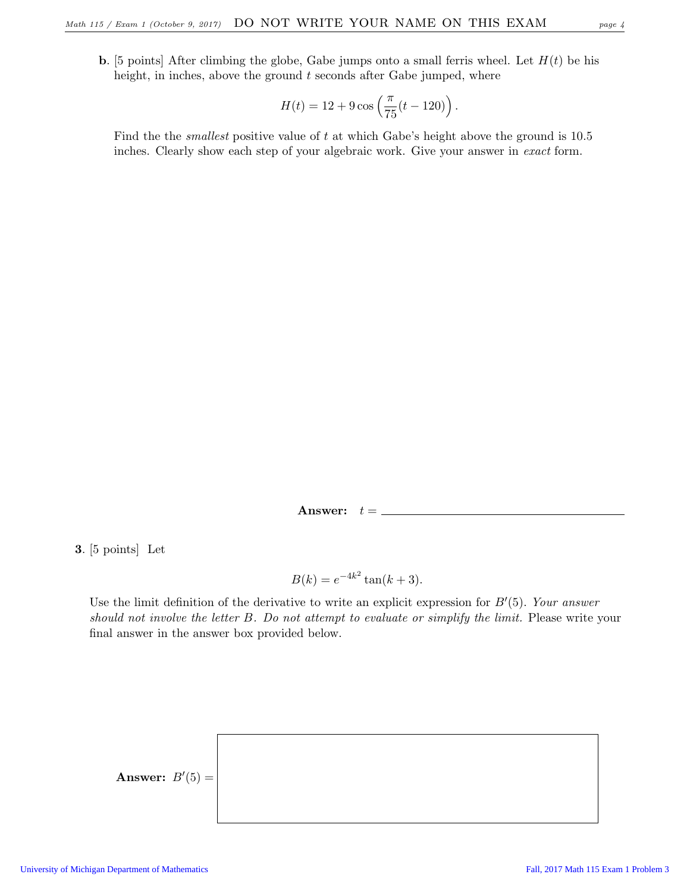$$
H(t) = 12 + 9\cos\left(\frac{\pi}{75}(t - 120)\right).
$$

Find the the smallest positive value of t at which Gabe's height above the ground is 10.5 inches. Clearly show each step of your algebraic work. Give your answer in exact form.

Answer:  $t = \_$ 

3. [5 points] Let

$$
B(k) = e^{-4k^2} \tan(k+3).
$$

Use the limit definition of the derivative to write an explicit expression for  $B'(5)$ . Your answer should not involve the letter B. Do not attempt to evaluate or simplify the limit. Please write your final answer in the answer box provided below.

Answer:  $B'(5) =$